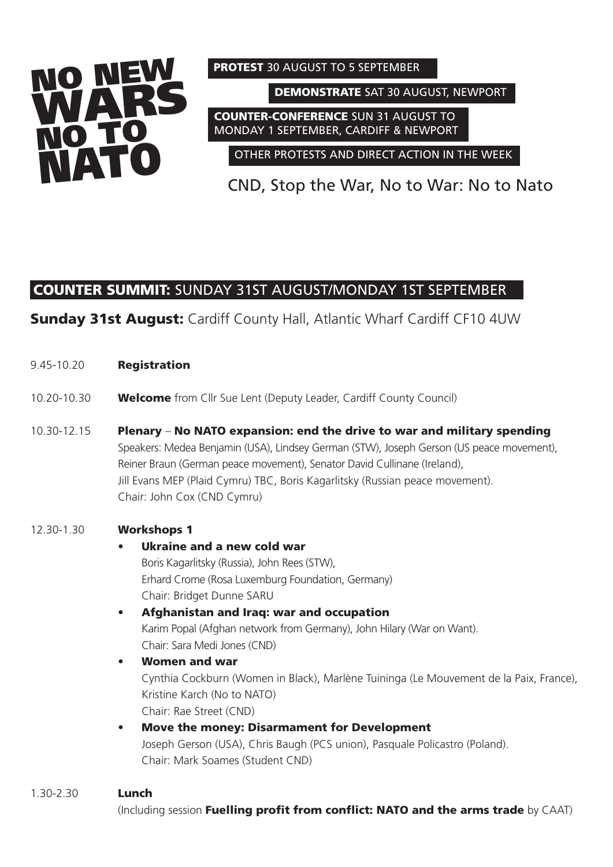

**PROTEST** 30 AUGUST TO 5 SEPTEMBER

**DEMONSTRATE** SAT 30 AUGUST, NEWPORT

**COUNTER-CONFERENCE** SUN 31 AUGUST TO MONDAY 1 SEPTEMBER, CARDIFF & NEWPORT

OTHER PROTESTS AND DIRECT ACTION IN THE WEEK

CND, Stop the War, No to War: No to Nato

# **COUNTER SUMMIT:** SUNDAY 31ST AUGUST/MONDAY 1ST SEPTEMBER

**Sunday 31st August:** Cardiff County Hall, Atlantic Wharf Cardiff CF10 4UW

- 9.45-10.20 **Registration**
- 10.20-10.30 **Welcome** from Cllr Sue Lent (Deputy Leader, Cardiff County Council)
- 10.30-12.15 **Plenary No NATO expansion: end the drive to war and military spending** Speakers: Medea Benjamin (USA), Lindsey German (STW), Joseph Gerson (US peace movement), Reiner Braun (German peace movement), Senator David Cullinane (Ireland), Jill Evans MEP (Plaid Cymru) TBC, Boris Kagarlitsky (Russian peace movement). Chair: John Cox (CND Cymru)

### 12.30-1.30 **Workshops 1**

## • **Ukraine and a new cold war** Boris Kagarlitsky (Russia), John Rees (STW), Erhard Crome (Rosa Luxemburg Foundation, Germany) Chair: Bridget Dunne SARU • **Afghanistan and Iraq: war and occupation** Karim Popal (Afghan network from Germany), John Hilary (War on Want). Chair: Sara Medi Jones (CND) • **Women and war** Cynthia Cockburn (Women in Black), Marlène Tuininga (Le Mouvement de la Paix, France), Kristine Karch (No to NATO) Chair: Rae Street (CND) • **Move the money: Disarmament for Development**

Joseph Gerson (USA), Chris Baugh (PCS union), Pasquale Policastro (Poland). Chair: Mark Soames (Student CND)

### 1.30-2.30 **Lunch**

(Including session **Fuelling profit from conflict: NATO and the arms trade** by CAAT)